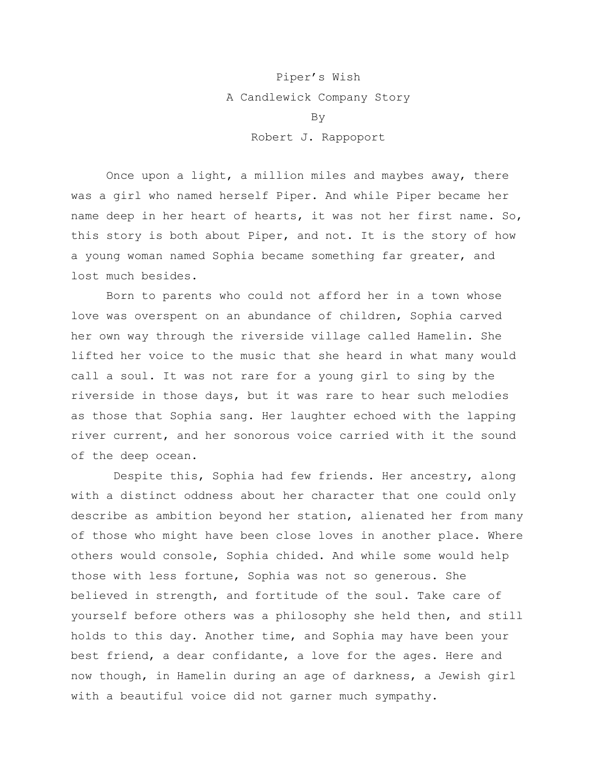## Piper's Wish A Candlewick Company Story By Robert J. Rappoport

Once upon a light, a million miles and maybes away, there was a girl who named herself Piper. And while Piper became her name deep in her heart of hearts, it was not her first name. So, this story is both about Piper, and not. It is the story of how a young woman named Sophia became something far greater, and lost much besides.

Born to parents who could not afford her in a town whose love was overspent on an abundance of children, Sophia carved her own way through the riverside village called Hamelin. She lifted her voice to the music that she heard in what many would call a soul. It was not rare for a young girl to sing by the riverside in those days, but it was rare to hear such melodies as those that Sophia sang. Her laughter echoed with the lapping river current, and her sonorous voice carried with it the sound of the deep ocean.

Despite this, Sophia had few friends. Her ancestry, along with a distinct oddness about her character that one could only describe as ambition beyond her station, alienated her from many of those who might have been close loves in another place. Where others would console, Sophia chided. And while some would help those with less fortune, Sophia was not so generous. She believed in strength, and fortitude of the soul. Take care of yourself before others was a philosophy she held then, and still holds to this day. Another time, and Sophia may have been your best friend, a dear confidante, a love for the ages. Here and now though, in Hamelin during an age of darkness, a Jewish girl with a beautiful voice did not garner much sympathy.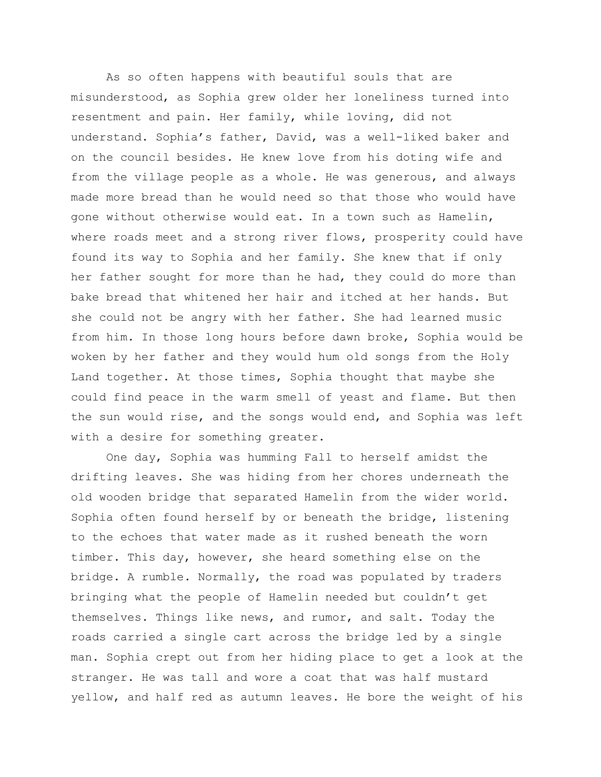As so often happens with beautiful souls that are misunderstood, as Sophia grew older her loneliness turned into resentment and pain. Her family, while loving, did not understand. Sophia's father, David, was a well-liked baker and on the council besides. He knew love from his doting wife and from the village people as a whole. He was generous, and always made more bread than he would need so that those who would have gone without otherwise would eat. In a town such as Hamelin, where roads meet and a strong river flows, prosperity could have found its way to Sophia and her family. She knew that if only her father sought for more than he had, they could do more than bake bread that whitened her hair and itched at her hands. But she could not be angry with her father. She had learned music from him. In those long hours before dawn broke, Sophia would be woken by her father and they would hum old songs from the Holy Land together. At those times, Sophia thought that maybe she could find peace in the warm smell of yeast and flame. But then the sun would rise, and the songs would end, and Sophia was left with a desire for something greater.

One day, Sophia was humming Fall to herself amidst the drifting leaves. She was hiding from her chores underneath the old wooden bridge that separated Hamelin from the wider world. Sophia often found herself by or beneath the bridge, listening to the echoes that water made as it rushed beneath the worn timber. This day, however, she heard something else on the bridge. A rumble. Normally, the road was populated by traders bringing what the people of Hamelin needed but couldn't get themselves. Things like news, and rumor, and salt. Today the roads carried a single cart across the bridge led by a single man. Sophia crept out from her hiding place to get a look at the stranger. He was tall and wore a coat that was half mustard yellow, and half red as autumn leaves. He bore the weight of his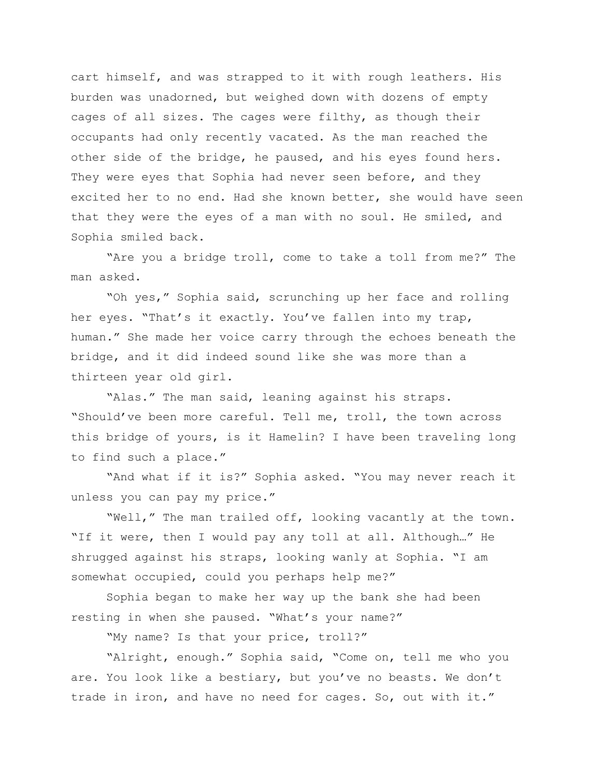cart himself, and was strapped to it with rough leathers. His burden was unadorned, but weighed down with dozens of empty cages of all sizes. The cages were filthy, as though their occupants had only recently vacated. As the man reached the other side of the bridge, he paused, and his eyes found hers. They were eyes that Sophia had never seen before, and they excited her to no end. Had she known better, she would have seen that they were the eyes of a man with no soul. He smiled, and Sophia smiled back.

"Are you a bridge troll, come to take a toll from me?" The man asked.

"Oh yes," Sophia said, scrunching up her face and rolling her eyes. "That's it exactly. You've fallen into my trap, human." She made her voice carry through the echoes beneath the bridge, and it did indeed sound like she was more than a thirteen year old girl.

"Alas." The man said, leaning against his straps. "Should've been more careful. Tell me, troll, the town across this bridge of yours, is it Hamelin? I have been traveling long to find such a place."

"And what if it is?" Sophia asked. "You may never reach it unless you can pay my price."

"Well," The man trailed off, looking vacantly at the town. "If it were, then I would pay any toll at all. Although…" He shrugged against his straps, looking wanly at Sophia. "I am somewhat occupied, could you perhaps help me?"

Sophia began to make her way up the bank she had been resting in when she paused. "What's your name?"

"My name? Is that your price, troll?"

"Alright, enough." Sophia said, "Come on, tell me who you are. You look like a bestiary, but you've no beasts. We don't trade in iron, and have no need for cages. So, out with it."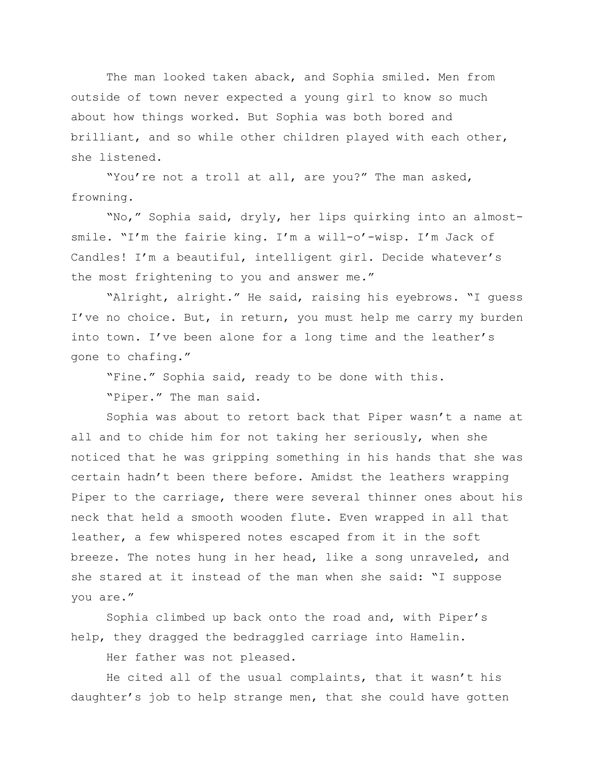The man looked taken aback, and Sophia smiled. Men from outside of town never expected a young girl to know so much about how things worked. But Sophia was both bored and brilliant, and so while other children played with each other, she listened.

"You're not a troll at all, are you?" The man asked, frowning.

"No," Sophia said, dryly, her lips quirking into an almostsmile. "I'm the fairie king. I'm a will-o'-wisp. I'm Jack of Candles! I'm a beautiful, intelligent girl. Decide whatever's the most frightening to you and answer me."

"Alright, alright." He said, raising his eyebrows. "I guess I've no choice. But, in return, you must help me carry my burden into town. I've been alone for a long time and the leather's gone to chafing."

"Fine." Sophia said, ready to be done with this. "Piper." The man said.

Sophia was about to retort back that Piper wasn't a name at all and to chide him for not taking her seriously, when she noticed that he was gripping something in his hands that she was certain hadn't been there before. Amidst the leathers wrapping Piper to the carriage, there were several thinner ones about his neck that held a smooth wooden flute. Even wrapped in all that leather, a few whispered notes escaped from it in the soft breeze. The notes hung in her head, like a song unraveled, and she stared at it instead of the man when she said: "I suppose you are."

Sophia climbed up back onto the road and, with Piper's help, they dragged the bedraggled carriage into Hamelin.

Her father was not pleased.

He cited all of the usual complaints, that it wasn't his daughter's job to help strange men, that she could have gotten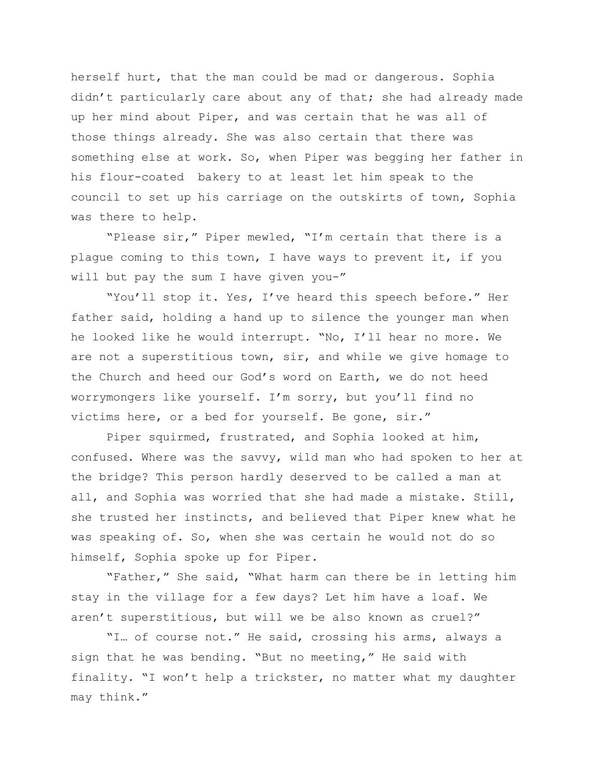herself hurt, that the man could be mad or dangerous. Sophia didn't particularly care about any of that; she had already made up her mind about Piper, and was certain that he was all of those things already. She was also certain that there was something else at work. So, when Piper was begging her father in his flour-coated bakery to at least let him speak to the council to set up his carriage on the outskirts of town, Sophia was there to help.

"Please sir," Piper mewled, "I'm certain that there is a plague coming to this town, I have ways to prevent it, if you will but pay the sum I have given you-"

"You'll stop it. Yes, I've heard this speech before." Her father said, holding a hand up to silence the younger man when he looked like he would interrupt. "No, I'll hear no more. We are not a superstitious town, sir, and while we give homage to the Church and heed our God's word on Earth, we do not heed worrymongers like yourself. I'm sorry, but you'll find no victims here, or a bed for yourself. Be gone, sir."

Piper squirmed, frustrated, and Sophia looked at him, confused. Where was the savvy, wild man who had spoken to her at the bridge? This person hardly deserved to be called a man at all, and Sophia was worried that she had made a mistake. Still, she trusted her instincts, and believed that Piper knew what he was speaking of. So, when she was certain he would not do so himself, Sophia spoke up for Piper.

"Father," She said, "What harm can there be in letting him stay in the village for a few days? Let him have a loaf. We aren't superstitious, but will we be also known as cruel?"

"I… of course not." He said, crossing his arms, always a sign that he was bending. "But no meeting," He said with finality. "I won't help a trickster, no matter what my daughter may think."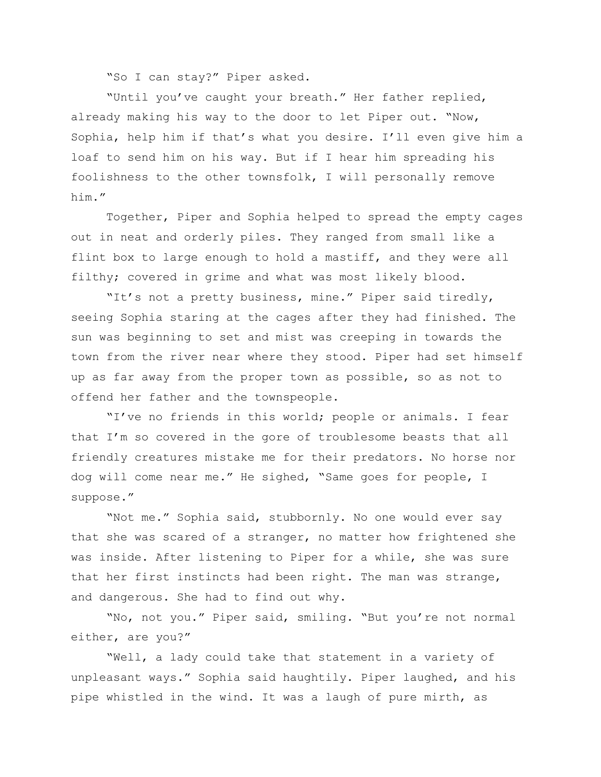"So I can stay?" Piper asked.

"Until you've caught your breath." Her father replied, already making his way to the door to let Piper out. "Now, Sophia, help him if that's what you desire. I'll even give him a loaf to send him on his way. But if I hear him spreading his foolishness to the other townsfolk, I will personally remove him."

Together, Piper and Sophia helped to spread the empty cages out in neat and orderly piles. They ranged from small like a flint box to large enough to hold a mastiff, and they were all filthy; covered in grime and what was most likely blood.

"It's not a pretty business, mine." Piper said tiredly, seeing Sophia staring at the cages after they had finished. The sun was beginning to set and mist was creeping in towards the town from the river near where they stood. Piper had set himself up as far away from the proper town as possible, so as not to offend her father and the townspeople.

"I've no friends in this world; people or animals. I fear that I'm so covered in the gore of troublesome beasts that all friendly creatures mistake me for their predators. No horse nor dog will come near me." He sighed, "Same goes for people, I suppose."

"Not me." Sophia said, stubbornly. No one would ever say that she was scared of a stranger, no matter how frightened she was inside. After listening to Piper for a while, she was sure that her first instincts had been right. The man was strange, and dangerous. She had to find out why.

"No, not you." Piper said, smiling. "But you're not normal either, are you?"

"Well, a lady could take that statement in a variety of unpleasant ways." Sophia said haughtily. Piper laughed, and his pipe whistled in the wind. It was a laugh of pure mirth, as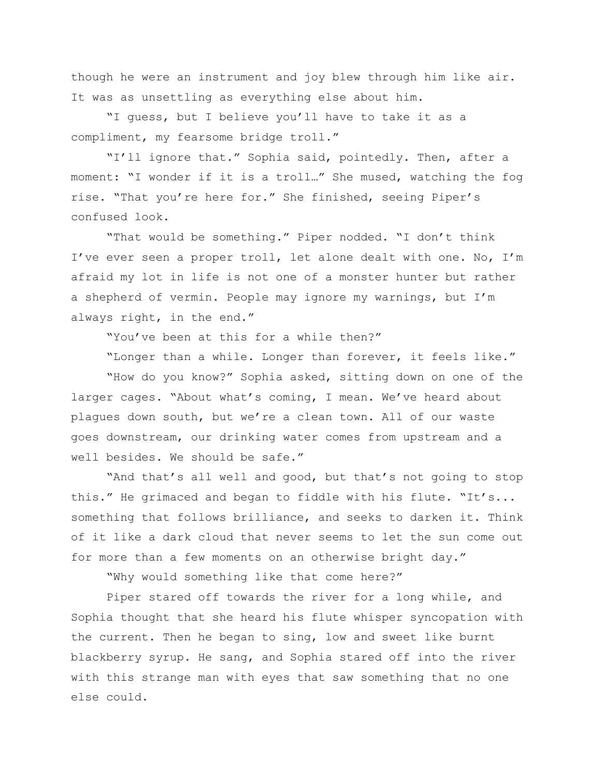though he were an instrument and joy blew through him like air. It was as unsettling as everything else about him.

"I guess, but I believe you'll have to take it as a compliment, my fearsome bridge troll."

"I'll ignore that." Sophia said, pointedly. Then, after a moment: "I wonder if it is a troll…" She mused, watching the fog rise. "That you're here for." She finished, seeing Piper's confused look.

"That would be something." Piper nodded. "I don't think I've ever seen a proper troll, let alone dealt with one. No, I'm afraid my lot in life is not one of a monster hunter but rather a shepherd of vermin. People may ignore my warnings, but I'm always right, in the end."

"You've been at this for a while then?"

"Longer than a while. Longer than forever, it feels like." "How do you know?" Sophia asked, sitting down on one of the larger cages. "About what's coming, I mean. We've heard about plagues down south, but we're a clean town. All of our waste goes downstream, our drinking water comes from upstream and a well besides. We should be safe."

"And that's all well and good, but that's not going to stop this." He grimaced and began to fiddle with his flute. "It's... something that follows brilliance, and seeks to darken it. Think of it like a dark cloud that never seems to let the sun come out for more than a few moments on an otherwise bright day."

"Why would something like that come here?"

Piper stared off towards the river for a long while, and Sophia thought that she heard his flute whisper syncopation with the current. Then he began to sing, low and sweet like burnt blackberry syrup. He sang, and Sophia stared off into the river with this strange man with eyes that saw something that no one else could.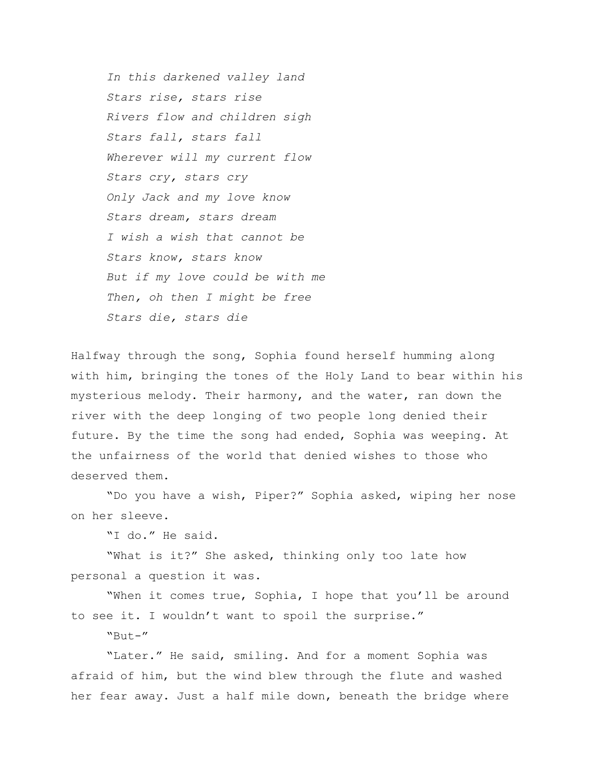*In this darkened valley land Stars rise, stars rise Rivers flow and children sigh Stars fall, stars fall Wherever will my current flow Stars cry, stars cry Only Jack and my love know Stars dream, stars dream I wish a wish that cannot be Stars know, stars know But if my love could be with me Then, oh then I might be free Stars die, stars die*

Halfway through the song, Sophia found herself humming along with him, bringing the tones of the Holy Land to bear within his mysterious melody. Their harmony, and the water, ran down the river with the deep longing of two people long denied their future. By the time the song had ended, Sophia was weeping. At the unfairness of the world that denied wishes to those who deserved them.

"Do you have a wish, Piper?" Sophia asked, wiping her nose on her sleeve.

"I do." He said.

"What is it?" She asked, thinking only too late how personal a question it was.

"When it comes true, Sophia, I hope that you'll be around to see it. I wouldn't want to spoil the surprise."

 $"B11+ -"$ 

"Later." He said, smiling. And for a moment Sophia was afraid of him, but the wind blew through the flute and washed her fear away. Just a half mile down, beneath the bridge where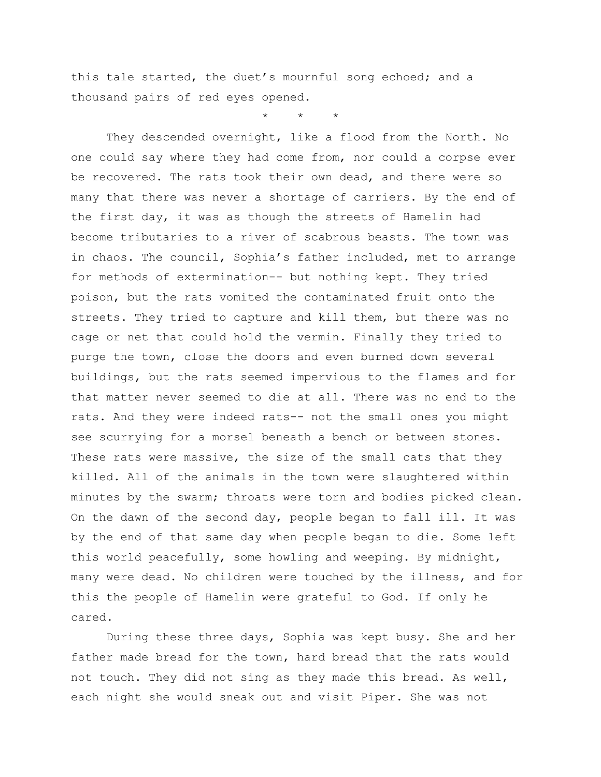this tale started, the duet's mournful song echoed; and a thousand pairs of red eyes opened.

\* \* \*

They descended overnight, like a flood from the North. No one could say where they had come from, nor could a corpse ever be recovered. The rats took their own dead, and there were so many that there was never a shortage of carriers. By the end of the first day, it was as though the streets of Hamelin had become tributaries to a river of scabrous beasts. The town was in chaos. The council, Sophia's father included, met to arrange for methods of extermination-- but nothing kept. They tried poison, but the rats vomited the contaminated fruit onto the streets. They tried to capture and kill them, but there was no cage or net that could hold the vermin. Finally they tried to purge the town, close the doors and even burned down several buildings, but the rats seemed impervious to the flames and for that matter never seemed to die at all. There was no end to the rats. And they were indeed rats-- not the small ones you might see scurrying for a morsel beneath a bench or between stones. These rats were massive, the size of the small cats that they killed. All of the animals in the town were slaughtered within minutes by the swarm; throats were torn and bodies picked clean. On the dawn of the second day, people began to fall ill. It was by the end of that same day when people began to die. Some left this world peacefully, some howling and weeping. By midnight, many were dead. No children were touched by the illness, and for this the people of Hamelin were grateful to God. If only he cared.

During these three days, Sophia was kept busy. She and her father made bread for the town, hard bread that the rats would not touch. They did not sing as they made this bread. As well, each night she would sneak out and visit Piper. She was not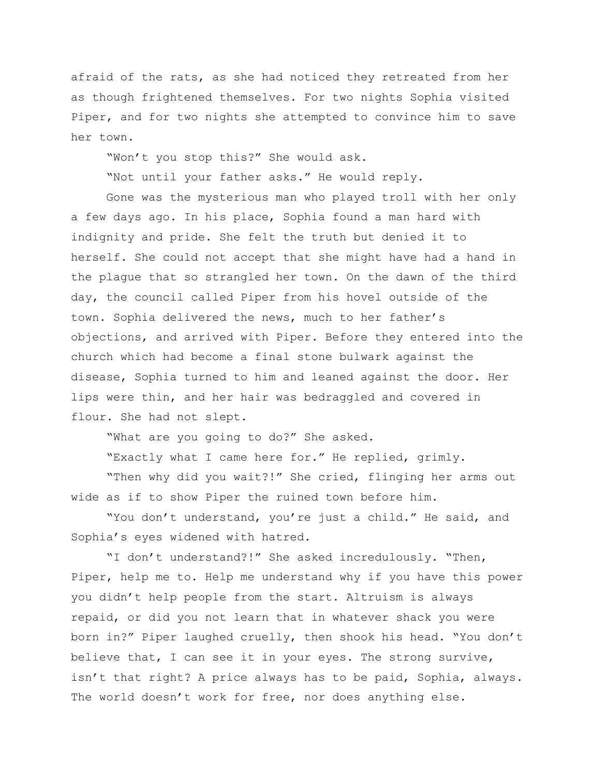afraid of the rats, as she had noticed they retreated from her as though frightened themselves. For two nights Sophia visited Piper, and for two nights she attempted to convince him to save her town.

"Won't you stop this?" She would ask.

"Not until your father asks." He would reply.

Gone was the mysterious man who played troll with her only a few days ago. In his place, Sophia found a man hard with indignity and pride. She felt the truth but denied it to herself. She could not accept that she might have had a hand in the plague that so strangled her town. On the dawn of the third day, the council called Piper from his hovel outside of the town. Sophia delivered the news, much to her father's objections, and arrived with Piper. Before they entered into the church which had become a final stone bulwark against the disease, Sophia turned to him and leaned against the door. Her lips were thin, and her hair was bedraggled and covered in flour. She had not slept.

"What are you going to do?" She asked.

"Exactly what I came here for." He replied, grimly.

"Then why did you wait?!" She cried, flinging her arms out wide as if to show Piper the ruined town before him.

"You don't understand, you're just a child." He said, and Sophia's eyes widened with hatred.

"I don't understand?!" She asked incredulously. "Then, Piper, help me to. Help me understand why if you have this power you didn't help people from the start. Altruism is always repaid, or did you not learn that in whatever shack you were born in?" Piper laughed cruelly, then shook his head. "You don't believe that, I can see it in your eyes. The strong survive, isn't that right? A price always has to be paid, Sophia, always. The world doesn't work for free, nor does anything else.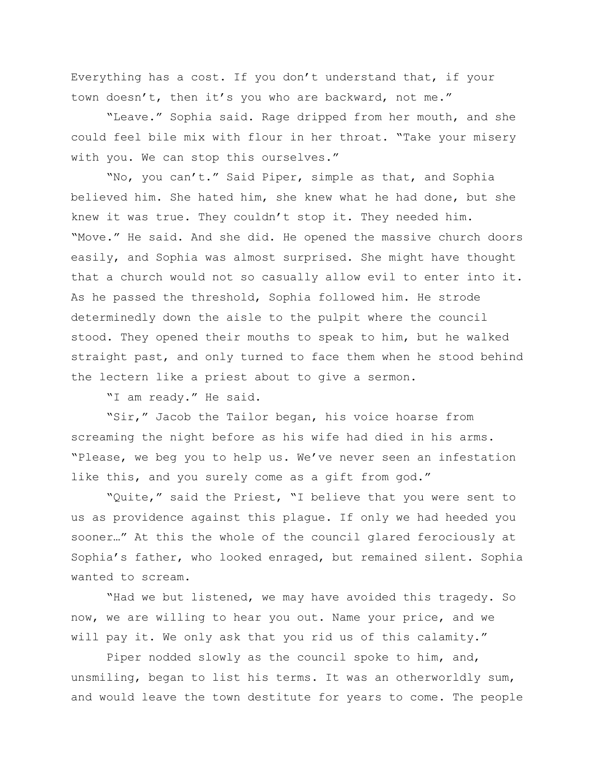Everything has a cost. If you don't understand that, if your town doesn't, then it's you who are backward, not me."

"Leave." Sophia said. Rage dripped from her mouth, and she could feel bile mix with flour in her throat. "Take your misery with you. We can stop this ourselves."

"No, you can't." Said Piper, simple as that, and Sophia believed him. She hated him, she knew what he had done, but she knew it was true. They couldn't stop it. They needed him. "Move." He said. And she did. He opened the massive church doors easily, and Sophia was almost surprised. She might have thought that a church would not so casually allow evil to enter into it. As he passed the threshold, Sophia followed him. He strode determinedly down the aisle to the pulpit where the council stood. They opened their mouths to speak to him, but he walked straight past, and only turned to face them when he stood behind the lectern like a priest about to give a sermon.

"I am ready." He said.

"Sir," Jacob the Tailor began, his voice hoarse from screaming the night before as his wife had died in his arms. "Please, we beg you to help us. We've never seen an infestation like this, and you surely come as a gift from god."

"Quite," said the Priest, "I believe that you were sent to us as providence against this plague. If only we had heeded you sooner…" At this the whole of the council glared ferociously at Sophia's father, who looked enraged, but remained silent. Sophia wanted to scream.

"Had we but listened, we may have avoided this tragedy. So now, we are willing to hear you out. Name your price, and we will pay it. We only ask that you rid us of this calamity."

Piper nodded slowly as the council spoke to him, and, unsmiling, began to list his terms. It was an otherworldly sum, and would leave the town destitute for years to come. The people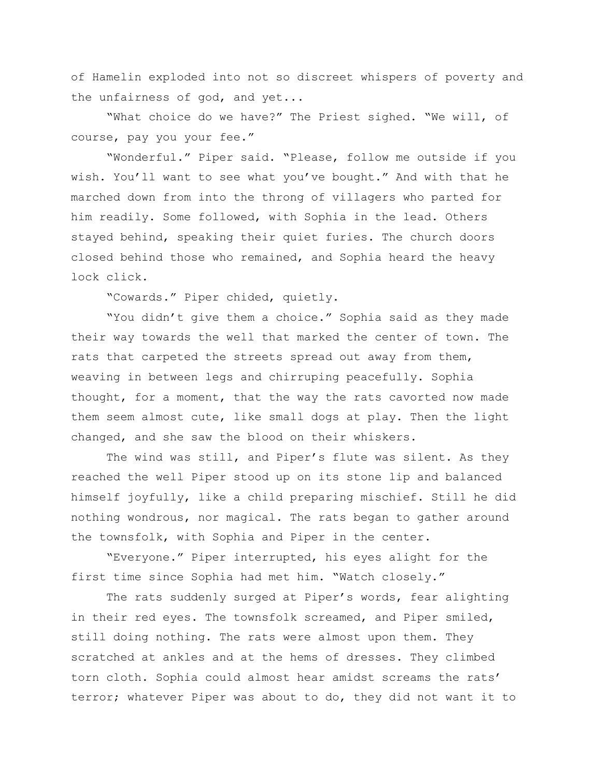of Hamelin exploded into not so discreet whispers of poverty and the unfairness of god, and yet...

"What choice do we have?" The Priest sighed. "We will, of course, pay you your fee."

"Wonderful." Piper said. "Please, follow me outside if you wish. You'll want to see what you've bought." And with that he marched down from into the throng of villagers who parted for him readily. Some followed, with Sophia in the lead. Others stayed behind, speaking their quiet furies. The church doors closed behind those who remained, and Sophia heard the heavy lock click.

"Cowards." Piper chided, quietly.

"You didn't give them a choice." Sophia said as they made their way towards the well that marked the center of town. The rats that carpeted the streets spread out away from them, weaving in between legs and chirruping peacefully. Sophia thought, for a moment, that the way the rats cavorted now made them seem almost cute, like small dogs at play. Then the light changed, and she saw the blood on their whiskers.

The wind was still, and Piper's flute was silent. As they reached the well Piper stood up on its stone lip and balanced himself joyfully, like a child preparing mischief. Still he did nothing wondrous, nor magical. The rats began to gather around the townsfolk, with Sophia and Piper in the center.

"Everyone." Piper interrupted, his eyes alight for the first time since Sophia had met him. "Watch closely."

The rats suddenly surged at Piper's words, fear alighting in their red eyes. The townsfolk screamed, and Piper smiled, still doing nothing. The rats were almost upon them. They scratched at ankles and at the hems of dresses. They climbed torn cloth. Sophia could almost hear amidst screams the rats' terror; whatever Piper was about to do, they did not want it to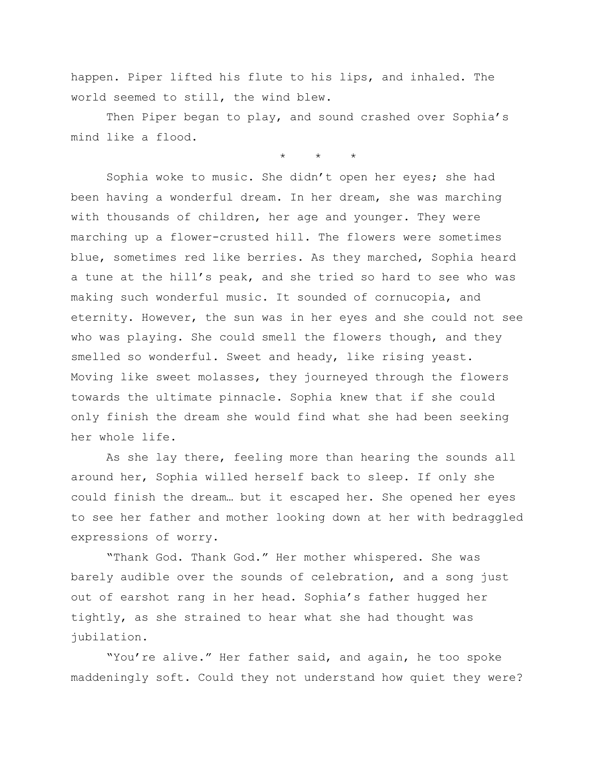happen. Piper lifted his flute to his lips, and inhaled. The world seemed to still, the wind blew.

Then Piper began to play, and sound crashed over Sophia's mind like a flood.

 $\star$   $\star$ 

Sophia woke to music. She didn't open her eyes; she had been having a wonderful dream. In her dream, she was marching with thousands of children, her age and younger. They were marching up a flower-crusted hill. The flowers were sometimes blue, sometimes red like berries. As they marched, Sophia heard a tune at the hill's peak, and she tried so hard to see who was making such wonderful music. It sounded of cornucopia, and eternity. However, the sun was in her eyes and she could not see who was playing. She could smell the flowers though, and they smelled so wonderful. Sweet and heady, like rising yeast. Moving like sweet molasses, they journeyed through the flowers towards the ultimate pinnacle. Sophia knew that if she could only finish the dream she would find what she had been seeking her whole life.

As she lay there, feeling more than hearing the sounds all around her, Sophia willed herself back to sleep. If only she could finish the dream… but it escaped her. She opened her eyes to see her father and mother looking down at her with bedraggled expressions of worry.

"Thank God. Thank God." Her mother whispered. She was barely audible over the sounds of celebration, and a song just out of earshot rang in her head. Sophia's father hugged her tightly, as she strained to hear what she had thought was jubilation.

"You're alive." Her father said, and again, he too spoke maddeningly soft. Could they not understand how quiet they were?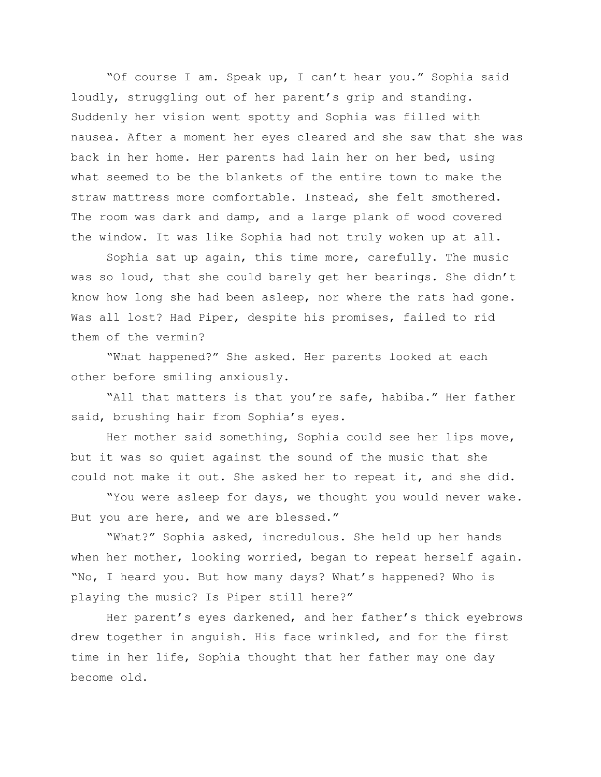"Of course I am. Speak up, I can't hear you." Sophia said loudly, struggling out of her parent's grip and standing. Suddenly her vision went spotty and Sophia was filled with nausea. After a moment her eyes cleared and she saw that she was back in her home. Her parents had lain her on her bed, using what seemed to be the blankets of the entire town to make the straw mattress more comfortable. Instead, she felt smothered. The room was dark and damp, and a large plank of wood covered the window. It was like Sophia had not truly woken up at all.

Sophia sat up again, this time more, carefully. The music was so loud, that she could barely get her bearings. She didn't know how long she had been asleep, nor where the rats had gone. Was all lost? Had Piper, despite his promises, failed to rid them of the vermin?

"What happened?" She asked. Her parents looked at each other before smiling anxiously.

"All that matters is that you're safe, habiba." Her father said, brushing hair from Sophia's eyes.

Her mother said something, Sophia could see her lips move, but it was so quiet against the sound of the music that she could not make it out. She asked her to repeat it, and she did.

"You were asleep for days, we thought you would never wake. But you are here, and we are blessed."

"What?" Sophia asked, incredulous. She held up her hands when her mother, looking worried, began to repeat herself again. "No, I heard you. But how many days? What's happened? Who is playing the music? Is Piper still here?"

Her parent's eyes darkened, and her father's thick eyebrows drew together in anguish. His face wrinkled, and for the first time in her life, Sophia thought that her father may one day become old.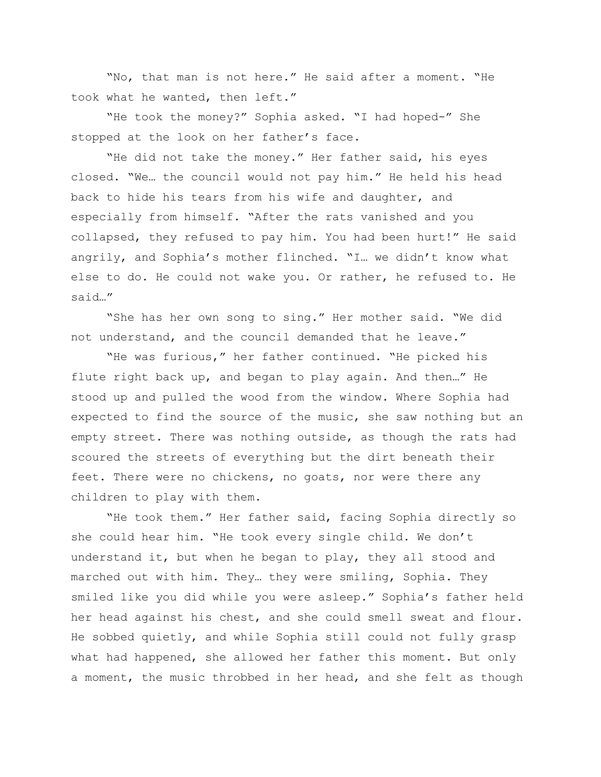"No, that man is not here." He said after a moment. "He took what he wanted, then left."

"He took the money?" Sophia asked. "I had hoped-" She stopped at the look on her father's face.

"He did not take the money." Her father said, his eyes closed. "We… the council would not pay him." He held his head back to hide his tears from his wife and daughter, and especially from himself. "After the rats vanished and you collapsed, they refused to pay him. You had been hurt!" He said angrily, and Sophia's mother flinched. "I… we didn't know what else to do. He could not wake you. Or rather, he refused to. He said…"

"She has her own song to sing." Her mother said. "We did not understand, and the council demanded that he leave."

"He was furious," her father continued. "He picked his flute right back up, and began to play again. And then…" He stood up and pulled the wood from the window. Where Sophia had expected to find the source of the music, she saw nothing but an empty street. There was nothing outside, as though the rats had scoured the streets of everything but the dirt beneath their feet. There were no chickens, no goats, nor were there any children to play with them.

"He took them." Her father said, facing Sophia directly so she could hear him. "He took every single child. We don't understand it, but when he began to play, they all stood and marched out with him. They… they were smiling, Sophia. They smiled like you did while you were asleep." Sophia's father held her head against his chest, and she could smell sweat and flour. He sobbed quietly, and while Sophia still could not fully grasp what had happened, she allowed her father this moment. But only a moment, the music throbbed in her head, and she felt as though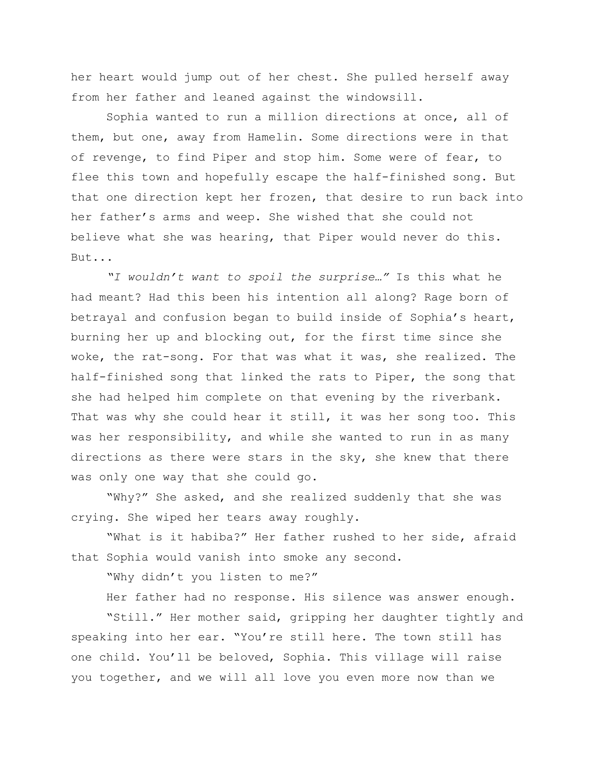her heart would jump out of her chest. She pulled herself away from her father and leaned against the windowsill.

Sophia wanted to run a million directions at once, all of them, but one, away from Hamelin. Some directions were in that of revenge, to find Piper and stop him. Some were of fear, to flee this town and hopefully escape the half-finished song. But that one direction kept her frozen, that desire to run back into her father's arms and weep. She wished that she could not believe what she was hearing, that Piper would never do this. But...

*"I wouldn't want to spoil the surprise…"* Is this what he had meant? Had this been his intention all along? Rage born of betrayal and confusion began to build inside of Sophia's heart, burning her up and blocking out, for the first time since she woke, the rat-song. For that was what it was, she realized. The half-finished song that linked the rats to Piper, the song that she had helped him complete on that evening by the riverbank. That was why she could hear it still, it was her song too. This was her responsibility, and while she wanted to run in as many directions as there were stars in the sky, she knew that there was only one way that she could go.

"Why?" She asked, and she realized suddenly that she was crying. She wiped her tears away roughly.

"What is it habiba?" Her father rushed to her side, afraid that Sophia would vanish into smoke any second.

"Why didn't you listen to me?"

Her father had no response. His silence was answer enough.

"Still." Her mother said, gripping her daughter tightly and speaking into her ear. "You're still here. The town still has one child. You'll be beloved, Sophia. This village will raise you together, and we will all love you even more now than we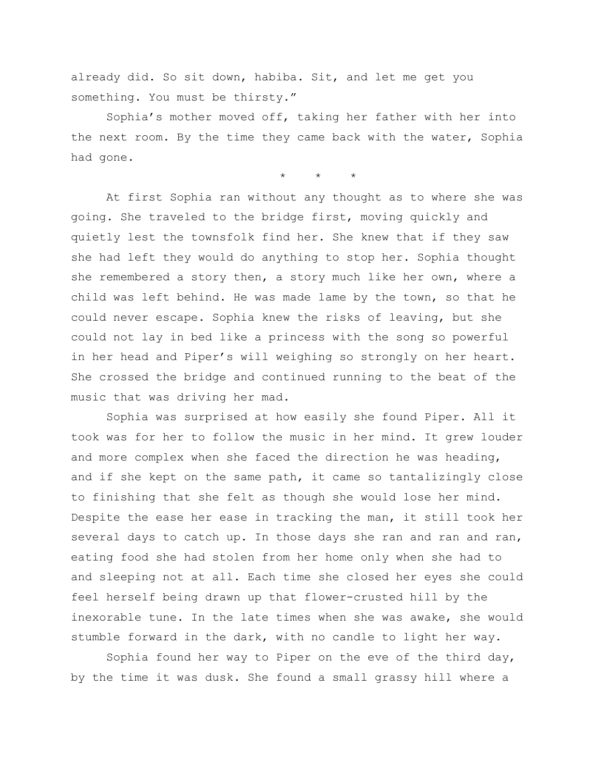already did. So sit down, habiba. Sit, and let me get you something. You must be thirsty."

Sophia's mother moved off, taking her father with her into the next room. By the time they came back with the water, Sophia had gone.

\* \* \*

At first Sophia ran without any thought as to where she was going. She traveled to the bridge first, moving quickly and quietly lest the townsfolk find her. She knew that if they saw she had left they would do anything to stop her. Sophia thought she remembered a story then, a story much like her own, where a child was left behind. He was made lame by the town, so that he could never escape. Sophia knew the risks of leaving, but she could not lay in bed like a princess with the song so powerful in her head and Piper's will weighing so strongly on her heart. She crossed the bridge and continued running to the beat of the music that was driving her mad.

Sophia was surprised at how easily she found Piper. All it took was for her to follow the music in her mind. It grew louder and more complex when she faced the direction he was heading, and if she kept on the same path, it came so tantalizingly close to finishing that she felt as though she would lose her mind. Despite the ease her ease in tracking the man, it still took her several days to catch up. In those days she ran and ran and ran, eating food she had stolen from her home only when she had to and sleeping not at all. Each time she closed her eyes she could feel herself being drawn up that flower-crusted hill by the inexorable tune. In the late times when she was awake, she would stumble forward in the dark, with no candle to light her way.

Sophia found her way to Piper on the eve of the third day, by the time it was dusk. She found a small grassy hill where a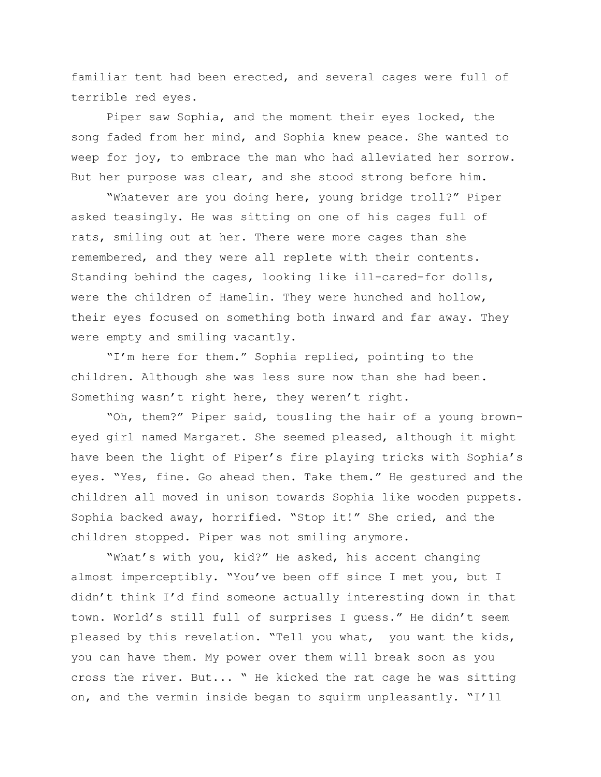familiar tent had been erected, and several cages were full of terrible red eyes.

Piper saw Sophia, and the moment their eyes locked, the song faded from her mind, and Sophia knew peace. She wanted to weep for joy, to embrace the man who had alleviated her sorrow. But her purpose was clear, and she stood strong before him.

"Whatever are you doing here, young bridge troll?" Piper asked teasingly. He was sitting on one of his cages full of rats, smiling out at her. There were more cages than she remembered, and they were all replete with their contents. Standing behind the cages, looking like ill-cared-for dolls, were the children of Hamelin. They were hunched and hollow, their eyes focused on something both inward and far away. They were empty and smiling vacantly.

"I'm here for them." Sophia replied, pointing to the children. Although she was less sure now than she had been. Something wasn't right here, they weren't right.

"Oh, them?" Piper said, tousling the hair of a young browneyed girl named Margaret. She seemed pleased, although it might have been the light of Piper's fire playing tricks with Sophia's eyes. "Yes, fine. Go ahead then. Take them." He gestured and the children all moved in unison towards Sophia like wooden puppets. Sophia backed away, horrified. "Stop it!" She cried, and the children stopped. Piper was not smiling anymore.

"What's with you, kid?" He asked, his accent changing almost imperceptibly. "You've been off since I met you, but I didn't think I'd find someone actually interesting down in that town. World's still full of surprises I guess." He didn't seem pleased by this revelation. "Tell you what, you want the kids, you can have them. My power over them will break soon as you cross the river. But... " He kicked the rat cage he was sitting on, and the vermin inside began to squirm unpleasantly. "I'll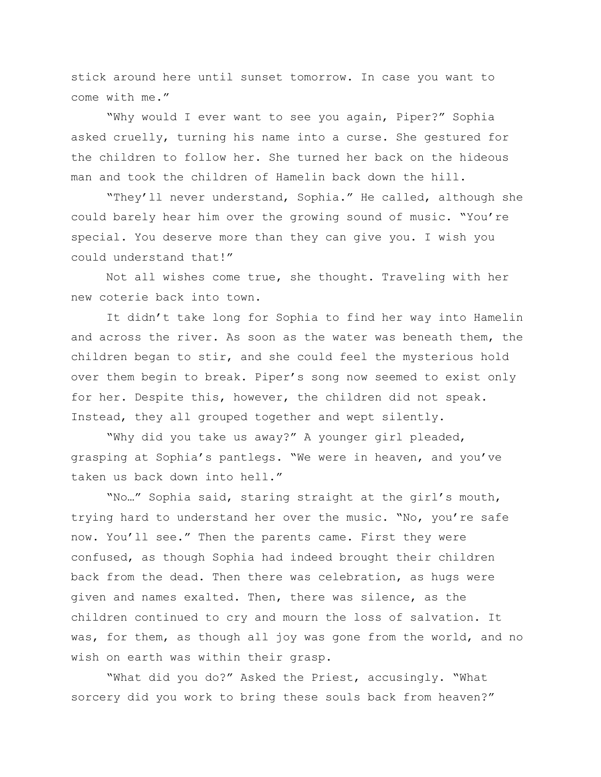stick around here until sunset tomorrow. In case you want to come with me."

"Why would I ever want to see you again, Piper?" Sophia asked cruelly, turning his name into a curse. She gestured for the children to follow her. She turned her back on the hideous man and took the children of Hamelin back down the hill.

"They'll never understand, Sophia." He called, although she could barely hear him over the growing sound of music. "You're special. You deserve more than they can give you. I wish you could understand that!"

Not all wishes come true, she thought. Traveling with her new coterie back into town.

It didn't take long for Sophia to find her way into Hamelin and across the river. As soon as the water was beneath them, the children began to stir, and she could feel the mysterious hold over them begin to break. Piper's song now seemed to exist only for her. Despite this, however, the children did not speak. Instead, they all grouped together and wept silently.

"Why did you take us away?" A younger girl pleaded, grasping at Sophia's pantlegs. "We were in heaven, and you've taken us back down into hell."

"No…" Sophia said, staring straight at the girl's mouth, trying hard to understand her over the music. "No, you're safe now. You'll see." Then the parents came. First they were confused, as though Sophia had indeed brought their children back from the dead. Then there was celebration, as hugs were given and names exalted. Then, there was silence, as the children continued to cry and mourn the loss of salvation. It was, for them, as though all joy was gone from the world, and no wish on earth was within their grasp.

"What did you do?" Asked the Priest, accusingly. "What sorcery did you work to bring these souls back from heaven?"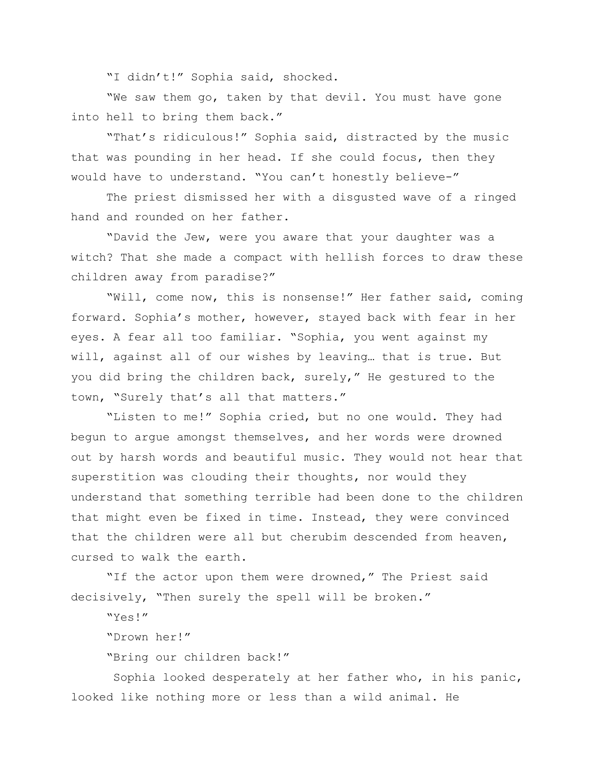"I didn't!" Sophia said, shocked.

"We saw them go, taken by that devil. You must have gone into hell to bring them back."

"That's ridiculous!" Sophia said, distracted by the music that was pounding in her head. If she could focus, then they would have to understand. "You can't honestly believe-"

The priest dismissed her with a disgusted wave of a ringed hand and rounded on her father.

"David the Jew, were you aware that your daughter was a witch? That she made a compact with hellish forces to draw these children away from paradise?"

"Will, come now, this is nonsense!" Her father said, coming forward. Sophia's mother, however, stayed back with fear in her eyes. A fear all too familiar. "Sophia, you went against my will, against all of our wishes by leaving… that is true. But you did bring the children back, surely," He gestured to the town, "Surely that's all that matters."

"Listen to me!" Sophia cried, but no one would. They had begun to argue amongst themselves, and her words were drowned out by harsh words and beautiful music. They would not hear that superstition was clouding their thoughts, nor would they understand that something terrible had been done to the children that might even be fixed in time. Instead, they were convinced that the children were all but cherubim descended from heaven, cursed to walk the earth.

"If the actor upon them were drowned," The Priest said decisively, "Then surely the spell will be broken."

"Yes!"

"Drown her!"

"Bring our children back!"

Sophia looked desperately at her father who, in his panic, looked like nothing more or less than a wild animal. He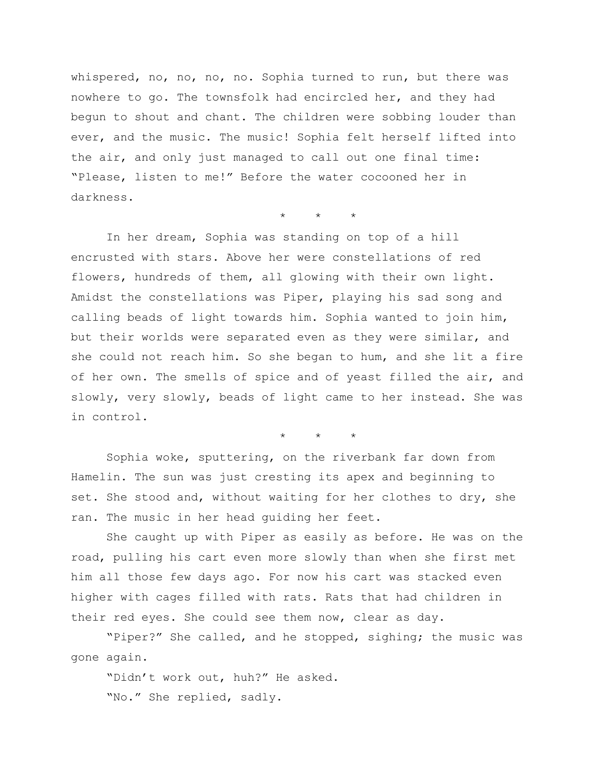whispered, no, no, no, no. Sophia turned to run, but there was nowhere to go. The townsfolk had encircled her, and they had begun to shout and chant. The children were sobbing louder than ever, and the music. The music! Sophia felt herself lifted into the air, and only just managed to call out one final time: "Please, listen to me!" Before the water cocooned her in darkness.

 $\star$   $\star$ 

In her dream, Sophia was standing on top of a hill encrusted with stars. Above her were constellations of red flowers, hundreds of them, all glowing with their own light. Amidst the constellations was Piper, playing his sad song and calling beads of light towards him. Sophia wanted to join him, but their worlds were separated even as they were similar, and she could not reach him. So she began to hum, and she lit a fire of her own. The smells of spice and of yeast filled the air, and slowly, very slowly, beads of light came to her instead. She was in control.

\* \* \*

Sophia woke, sputtering, on the riverbank far down from Hamelin. The sun was just cresting its apex and beginning to set. She stood and, without waiting for her clothes to dry, she ran. The music in her head guiding her feet.

She caught up with Piper as easily as before. He was on the road, pulling his cart even more slowly than when she first met him all those few days ago. For now his cart was stacked even higher with cages filled with rats. Rats that had children in their red eyes. She could see them now, clear as day.

"Piper?" She called, and he stopped, sighing; the music was gone again.

"Didn't work out, huh?" He asked. "No." She replied, sadly.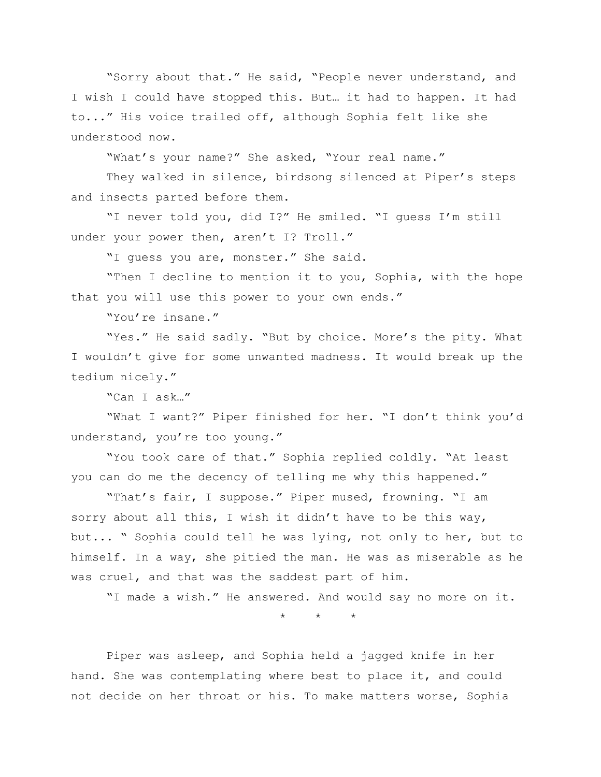"Sorry about that." He said, "People never understand, and I wish I could have stopped this. But… it had to happen. It had to..." His voice trailed off, although Sophia felt like she understood now.

"What's your name?" She asked, "Your real name."

They walked in silence, birdsong silenced at Piper's steps and insects parted before them.

"I never told you, did I?" He smiled. "I guess I'm still under your power then, aren't I? Troll."

"I guess you are, monster." She said.

"Then I decline to mention it to you, Sophia, with the hope that you will use this power to your own ends."

"You're insane."

"Yes." He said sadly. "But by choice. More's the pity. What I wouldn't give for some unwanted madness. It would break up the tedium nicely."

"Can I ask…"

"What I want?" Piper finished for her. "I don't think you'd understand, you're too young."

"You took care of that." Sophia replied coldly. "At least you can do me the decency of telling me why this happened."

"That's fair, I suppose." Piper mused, frowning. "I am sorry about all this, I wish it didn't have to be this way, but... " Sophia could tell he was lying, not only to her, but to himself. In a way, she pitied the man. He was as miserable as he was cruel, and that was the saddest part of him.

"I made a wish." He answered. And would say no more on it.

\* \* \*

Piper was asleep, and Sophia held a jagged knife in her hand. She was contemplating where best to place it, and could not decide on her throat or his. To make matters worse, Sophia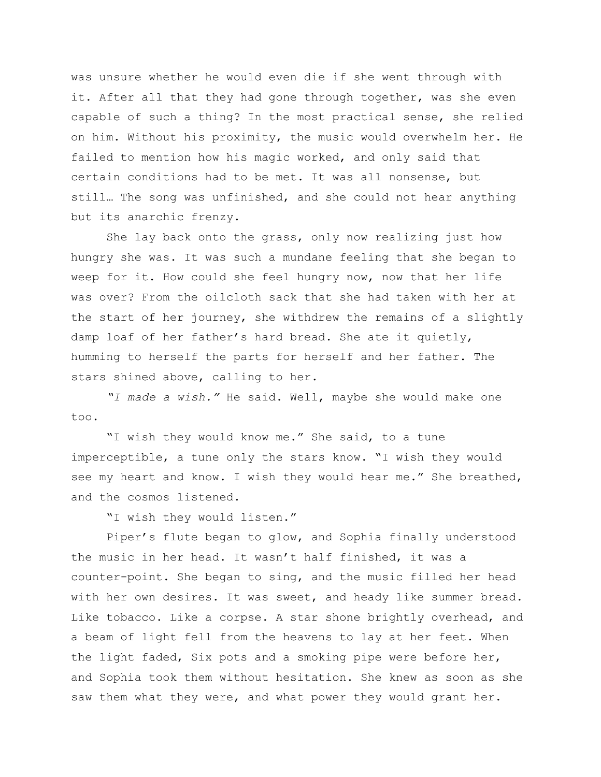was unsure whether he would even die if she went through with it. After all that they had gone through together, was she even capable of such a thing? In the most practical sense, she relied on him. Without his proximity, the music would overwhelm her. He failed to mention how his magic worked, and only said that certain conditions had to be met. It was all nonsense, but still… The song was unfinished, and she could not hear anything but its anarchic frenzy.

She lay back onto the grass, only now realizing just how hungry she was. It was such a mundane feeling that she began to weep for it. How could she feel hungry now, now that her life was over? From the oilcloth sack that she had taken with her at the start of her journey, she withdrew the remains of a slightly damp loaf of her father's hard bread. She ate it quietly, humming to herself the parts for herself and her father. The stars shined above, calling to her.

*"I made a wish."* He said. Well, maybe she would make one too.

"I wish they would know me." She said, to a tune imperceptible, a tune only the stars know. "I wish they would see my heart and know. I wish they would hear me." She breathed, and the cosmos listened.

"I wish they would listen."

Piper's flute began to glow, and Sophia finally understood the music in her head. It wasn't half finished, it was a counter-point. She began to sing, and the music filled her head with her own desires. It was sweet, and heady like summer bread. Like tobacco. Like a corpse. A star shone brightly overhead, and a beam of light fell from the heavens to lay at her feet. When the light faded, Six pots and a smoking pipe were before her, and Sophia took them without hesitation. She knew as soon as she saw them what they were, and what power they would grant her.